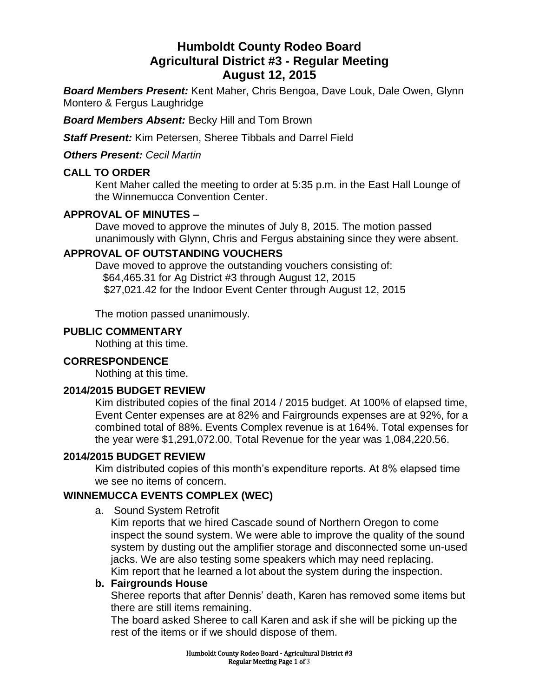# **Humboldt County Rodeo Board Agricultural District #3 - Regular Meeting August 12, 2015**

*Board Members Present:* Kent Maher, Chris Bengoa, Dave Louk, Dale Owen, Glynn Montero & Fergus Laughridge

*Board Members Absent:* Becky Hill and Tom Brown

*Staff Present:* Kim Petersen, Sheree Tibbals and Darrel Field

*Others Present: Cecil Martin*

### **CALL TO ORDER**

Kent Maher called the meeting to order at 5:35 p.m. in the East Hall Lounge of the Winnemucca Convention Center.

### **APPROVAL OF MINUTES –**

Dave moved to approve the minutes of July 8, 2015. The motion passed unanimously with Glynn, Chris and Fergus abstaining since they were absent.

### **APPROVAL OF OUTSTANDING VOUCHERS**

Dave moved to approve the outstanding vouchers consisting of: \$64,465.31 for Ag District #3 through August 12, 2015 \$27,021.42 for the Indoor Event Center through August 12, 2015

The motion passed unanimously.

### **PUBLIC COMMENTARY**

Nothing at this time.

### **CORRESPONDENCE**

Nothing at this time.

### **2014/2015 BUDGET REVIEW**

Kim distributed copies of the final 2014 / 2015 budget. At 100% of elapsed time, Event Center expenses are at 82% and Fairgrounds expenses are at 92%, for a combined total of 88%. Events Complex revenue is at 164%. Total expenses for the year were \$1,291,072.00. Total Revenue for the year was 1,084,220.56.

### **2014/2015 BUDGET REVIEW**

Kim distributed copies of this month's expenditure reports. At 8% elapsed time we see no items of concern.

### **WINNEMUCCA EVENTS COMPLEX (WEC)**

a. Sound System Retrofit

Kim reports that we hired Cascade sound of Northern Oregon to come inspect the sound system. We were able to improve the quality of the sound system by dusting out the amplifier storage and disconnected some un-used jacks. We are also testing some speakers which may need replacing. Kim report that he learned a lot about the system during the inspection.

### **b. Fairgrounds House**

Sheree reports that after Dennis' death, Karen has removed some items but there are still items remaining.

The board asked Sheree to call Karen and ask if she will be picking up the rest of the items or if we should dispose of them.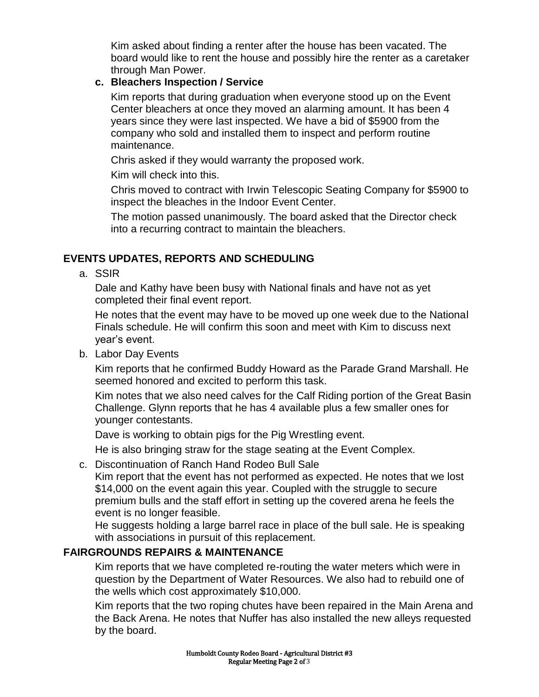Kim asked about finding a renter after the house has been vacated. The board would like to rent the house and possibly hire the renter as a caretaker through Man Power.

## **c. Bleachers Inspection / Service**

Kim reports that during graduation when everyone stood up on the Event Center bleachers at once they moved an alarming amount. It has been 4 years since they were last inspected. We have a bid of \$5900 from the company who sold and installed them to inspect and perform routine maintenance.

Chris asked if they would warranty the proposed work.

Kim will check into this.

Chris moved to contract with Irwin Telescopic Seating Company for \$5900 to inspect the bleaches in the Indoor Event Center.

The motion passed unanimously. The board asked that the Director check into a recurring contract to maintain the bleachers.

# **EVENTS UPDATES, REPORTS AND SCHEDULING**

a. SSIR

Dale and Kathy have been busy with National finals and have not as yet completed their final event report.

He notes that the event may have to be moved up one week due to the National Finals schedule. He will confirm this soon and meet with Kim to discuss next year's event.

b. Labor Day Events

Kim reports that he confirmed Buddy Howard as the Parade Grand Marshall. He seemed honored and excited to perform this task.

Kim notes that we also need calves for the Calf Riding portion of the Great Basin Challenge. Glynn reports that he has 4 available plus a few smaller ones for younger contestants.

Dave is working to obtain pigs for the Pig Wrestling event.

He is also bringing straw for the stage seating at the Event Complex.

c. Discontinuation of Ranch Hand Rodeo Bull Sale

Kim report that the event has not performed as expected. He notes that we lost \$14,000 on the event again this year. Coupled with the struggle to secure premium bulls and the staff effort in setting up the covered arena he feels the event is no longer feasible.

He suggests holding a large barrel race in place of the bull sale. He is speaking with associations in pursuit of this replacement.

# **FAIRGROUNDS REPAIRS & MAINTENANCE**

Kim reports that we have completed re-routing the water meters which were in question by the Department of Water Resources. We also had to rebuild one of the wells which cost approximately \$10,000.

Kim reports that the two roping chutes have been repaired in the Main Arena and the Back Arena. He notes that Nuffer has also installed the new alleys requested by the board.